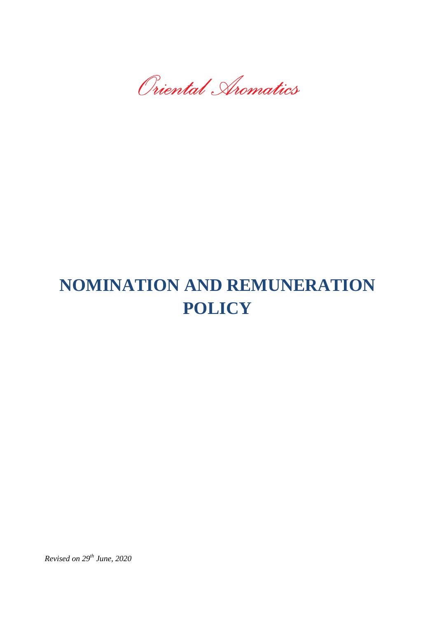Oriental Aromatics

# **NOMINATION AND REMUNERATION POLICY**

*Revised on 29th June, 2020*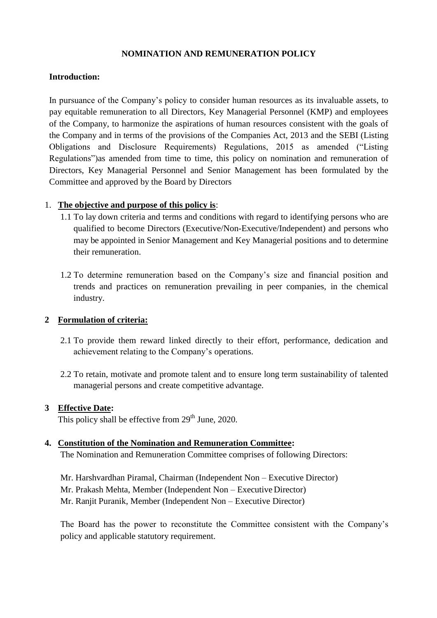## **NOMINATION AND REMUNERATION POLICY**

## **Introduction:**

In pursuance of the Company's policy to consider human resources as its invaluable assets, to pay equitable remuneration to all Directors, Key Managerial Personnel (KMP) and employees of the Company, to harmonize the aspirations of human resources consistent with the goals of the Company and in terms of the provisions of the Companies Act, 2013 and the SEBI (Listing Obligations and Disclosure Requirements) Regulations, 2015 as amended ("Listing Regulations")as amended from time to time, this policy on nomination and remuneration of Directors, Key Managerial Personnel and Senior Management has been formulated by the Committee and approved by the Board by Directors

## 1. **The objective and purpose of this policy is**:

- 1.1 To lay down criteria and terms and conditions with regard to identifying persons who are qualified to become Directors (Executive/Non-Executive/Independent) and persons who may be appointed in Senior Management and Key Managerial positions and to determine their remuneration.
- 1.2 To determine remuneration based on the Company's size and financial position and trends and practices on remuneration prevailing in peer companies, in the chemical industry.

## **2 Formulation of criteria:**

- 2.1 To provide them reward linked directly to their effort, performance, dedication and achievement relating to the Company's operations.
- 2.2 To retain, motivate and promote talent and to ensure long term sustainability of talented managerial persons and create competitive advantage.

## **3 Effective Date:**

This policy shall be effective from 29<sup>th</sup> June, 2020.

## **4. Constitution of the Nomination and Remuneration Committee:**

The Nomination and Remuneration Committee comprises of following Directors:

Mr. Harshvardhan Piramal, Chairman (Independent Non – Executive Director) Mr. Prakash Mehta, Member (Independent Non – Executive Director) Mr. Ranjit Puranik, Member (Independent Non – Executive Director)

The Board has the power to reconstitute the Committee consistent with the Company's policy and applicable statutory requirement.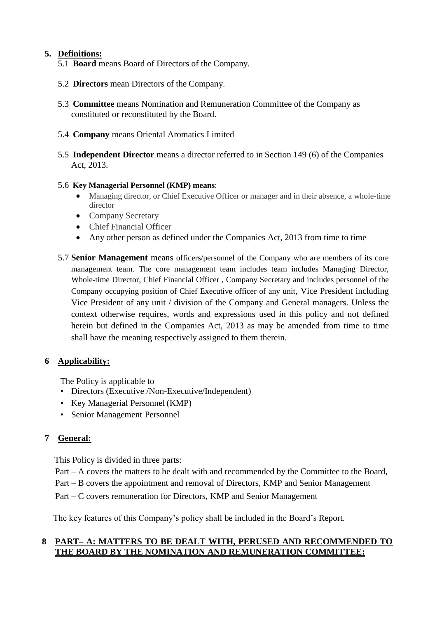## **5. Definitions:**

- 5.1 **Board** means Board of Directors of the Company.
- 5.2 **Directors** mean Directors of the Company.
- 5.3 **Committee** means Nomination and Remuneration Committee of the Company as constituted or reconstituted by the Board.
- 5.4 **Company** means Oriental Aromatics Limited
- 5.5 **Independent Director** means a director referred to in Section 149 (6) of the Companies Act, 2013.

## 5.6 **Key Managerial Personnel (KMP) means**:

- Managing director, or Chief Executive Officer or manager and in their absence, a whole-time director
- Company Secretary
- Chief Financial Officer
- Any other person as defined under the Companies Act, 2013 from time to time
- 5.7 **Senior Management** means officers/personnel of the Company who are members of its core management team. The core management team includes team includes Managing Director, Whole-time Director, Chief Financial Officer , Company Secretary and includes personnel of the Company occupying position of Chief Executive officer of any unit, Vice President including Vice President of any unit / division of the Company and General managers. Unless the context otherwise requires, words and expressions used in this policy and not defined herein but defined in the Companies Act, 2013 as may be amended from time to time shall have the meaning respectively assigned to them therein.

# **6 Applicability:**

The Policy is applicable to

- Directors (Executive /Non-Executive/Independent)
- Key Managerial Personnel (KMP)
- Senior Management Personnel

# **7 General:**

This Policy is divided in three parts:

- Part A covers the matters to be dealt with and recommended by the Committee to the Board,
- Part B covers the appointment and removal of Directors, KMP and Senior Management
- Part C covers remuneration for Directors, KMP and Senior Management

The key features of this Company's policy shall be included in the Board's Report.

## **8 PART– A: MATTERS TO BE DEALT WITH, PERUSED AND RECOMMENDED TO THE BOARD BY THE NOMINATION AND REMUNERATION COMMITTEE:**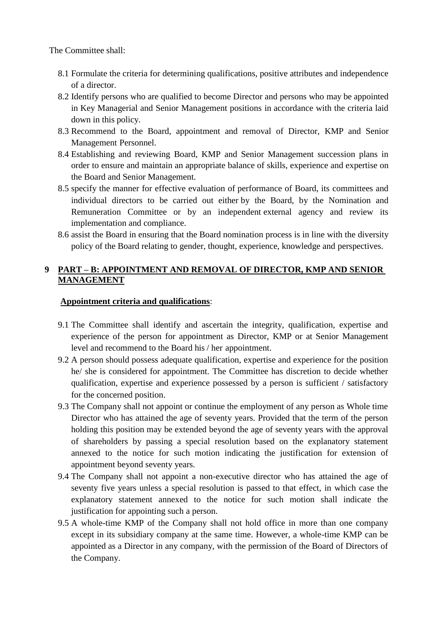The Committee shall:

- 8.1 Formulate the criteria for determining qualifications, positive attributes and independence of a director.
- 8.2 Identify persons who are qualified to become Director and persons who may be appointed in Key Managerial and Senior Management positions in accordance with the criteria laid down in this policy.
- 8.3 Recommend to the Board, appointment and removal of Director, KMP and Senior Management Personnel.
- 8.4 Establishing and reviewing Board, KMP and Senior Management succession plans in order to ensure and maintain an appropriate balance of skills, experience and expertise on the Board and Senior Management.
- 8.5 specify the manner for effective evaluation of performance of Board, its committees and individual directors to be carried out either by the Board, by the Nomination and Remuneration Committee or by an independent external agency and review its implementation and compliance.
- 8.6 assist the Board in ensuring that the Board nomination process is in line with the diversity policy of the Board relating to gender, thought, experience, knowledge and perspectives.

## **9 PART – B: APPOINTMENT AND REMOVAL OF DIRECTOR, KMP AND SENIOR MANAGEMENT**

## **Appointment criteria and qualifications**:

- 9.1 The Committee shall identify and ascertain the integrity, qualification, expertise and experience of the person for appointment as Director, KMP or at Senior Management level and recommend to the Board his / her appointment.
- 9.2 A person should possess adequate qualification, expertise and experience for the position he/ she is considered for appointment. The Committee has discretion to decide whether qualification, expertise and experience possessed by a person is sufficient / satisfactory for the concerned position.
- 9.3 The Company shall not appoint or continue the employment of any person as Whole time Director who has attained the age of seventy years. Provided that the term of the person holding this position may be extended beyond the age of seventy years with the approval of shareholders by passing a special resolution based on the explanatory statement annexed to the notice for such motion indicating the justification for extension of appointment beyond seventy years.
- 9.4 The Company shall not appoint a non-executive director who has attained the age of seventy five years unless a special resolution is passed to that effect, in which case the explanatory statement annexed to the notice for such motion shall indicate the justification for appointing such a person.
- 9.5 A whole-time KMP of the Company shall not hold office in more than one company except in its subsidiary company at the same time. However, a whole-time KMP can be appointed as a Director in any company, with the permission of the Board of Directors of the Company.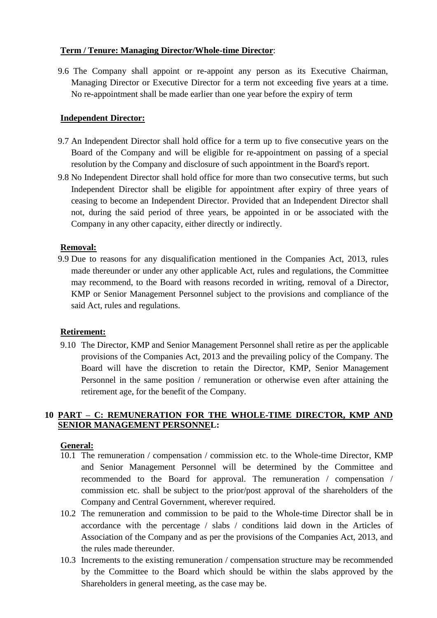## **Term / Tenure: Managing Director/Whole-time Director**:

9.6 The Company shall appoint or re-appoint any person as its Executive Chairman, Managing Director or Executive Director for a term not exceeding five years at a time. No re-appointment shall be made earlier than one year before the expiry of term

## **Independent Director:**

- 9.7 An Independent Director shall hold office for a term up to five consecutive years on the Board of the Company and will be eligible for re-appointment on passing of a special resolution by the Company and disclosure of such appointment in the Board's report.
- 9.8 No Independent Director shall hold office for more than two consecutive terms, but such Independent Director shall be eligible for appointment after expiry of three years of ceasing to become an Independent Director. Provided that an Independent Director shall not, during the said period of three years, be appointed in or be associated with the Company in any other capacity, either directly or indirectly.

## **Removal:**

9.9 Due to reasons for any disqualification mentioned in the Companies Act, 2013, rules made thereunder or under any other applicable Act, rules and regulations, the Committee may recommend, to the Board with reasons recorded in writing, removal of a Director, KMP or Senior Management Personnel subject to the provisions and compliance of the said Act, rules and regulations.

## **Retirement:**

9.10 The Director, KMP and Senior Management Personnel shall retire as per the applicable provisions of the Companies Act, 2013 and the prevailing policy of the Company. The Board will have the discretion to retain the Director, KMP, Senior Management Personnel in the same position / remuneration or otherwise even after attaining the retirement age, for the benefit of the Company.

## **10 PART – C: REMUNERATION FOR THE WHOLE-TIME DIRECTOR, KMP AND SENIOR MANAGEMENT PERSONNEL:**

## **General:**

- 10.1 The remuneration / compensation / commission etc. to the Whole-time Director, KMP and Senior Management Personnel will be determined by the Committee and recommended to the Board for approval. The remuneration / compensation / commission etc. shall be subject to the prior/post approval of the shareholders of the Company and Central Government, wherever required.
- 10.2 The remuneration and commission to be paid to the Whole-time Director shall be in accordance with the percentage / slabs / conditions laid down in the Articles of Association of the Company and as per the provisions of the Companies Act, 2013, and the rules made thereunder.
- 10.3 Increments to the existing remuneration / compensation structure may be recommended by the Committee to the Board which should be within the slabs approved by the Shareholders in general meeting, as the case may be.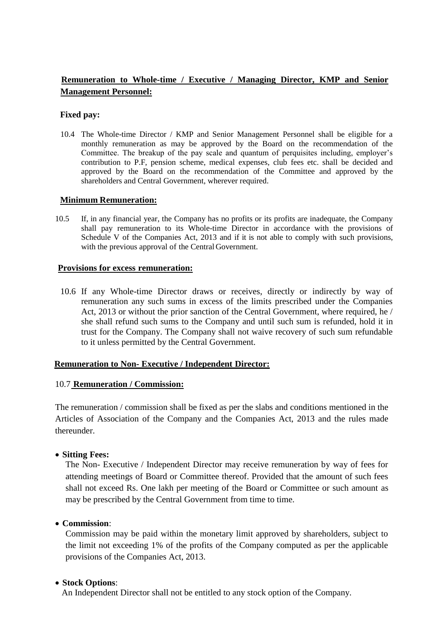# **Remuneration to Whole-time / Executive / Managing Director, KMP and Senior Management Personnel:**

#### **Fixed pay:**

10.4 The Whole-time Director / KMP and Senior Management Personnel shall be eligible for a monthly remuneration as may be approved by the Board on the recommendation of the Committee. The breakup of the pay scale and quantum of perquisites including, employer's contribution to P.F, pension scheme, medical expenses, club fees etc. shall be decided and approved by the Board on the recommendation of the Committee and approved by the shareholders and Central Government, wherever required.

#### **Minimum Remuneration:**

10.5 If, in any financial year, the Company has no profits or its profits are inadequate, the Company shall pay remuneration to its Whole-time Director in accordance with the provisions of Schedule V of the Companies Act, 2013 and if it is not able to comply with such provisions, with the previous approval of the Central Government.

#### **Provisions for excess remuneration:**

10.6 If any Whole-time Director draws or receives, directly or indirectly by way of remuneration any such sums in excess of the limits prescribed under the Companies Act, 2013 or without the prior sanction of the Central Government, where required, he / she shall refund such sums to the Company and until such sum is refunded, hold it in trust for the Company. The Company shall not waive recovery of such sum refundable to it unless permitted by the Central Government.

## **Remuneration to Non- Executive / Independent Director:**

## 10.7 **Remuneration / Commission:**

The remuneration / commission shall be fixed as per the slabs and conditions mentioned in the Articles of Association of the Company and the Companies Act, 2013 and the rules made thereunder.

## **Sitting Fees:**

The Non- Executive / Independent Director may receive remuneration by way of fees for attending meetings of Board or Committee thereof. Provided that the amount of such fees shall not exceed Rs. One lakh per meeting of the Board or Committee or such amount as may be prescribed by the Central Government from time to time.

## **Commission**:

Commission may be paid within the monetary limit approved by shareholders, subject to the limit not exceeding 1% of the profits of the Company computed as per the applicable provisions of the Companies Act, 2013.

## **Stock Options**:

An Independent Director shall not be entitled to any stock option of the Company.